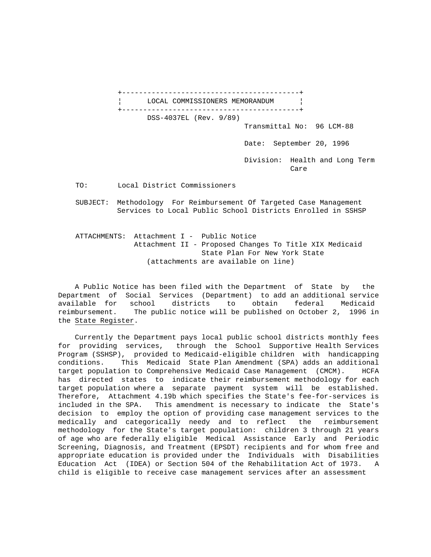+------------------------------------------+ LOCAL COMMISSIONERS MEMORANDUM +------------------------------------------+ DSS-4037EL (Rev. 9/89) Transmittal No: 96 LCM-88 Date: September 20, 1996 Division: Health and Long Term **Care** Care Care Care

TO: Local District Commissioners

 SUBJECT: Methodology For Reimbursement Of Targeted Case Management Services to Local Public School Districts Enrolled in SSHSP

 ATTACHMENTS: Attachment I - Public Notice Attachment II - Proposed Changes To Title XIX Medicaid State Plan For New York State (attachments are available on line)

 A Public Notice has been filed with the Department of State by the Department of Social Services (Department) to add an additional service available for school districts to obtain federal Medicaid reimbursement. The public notice will be published on October 2, 1996 in the State Register.

 Currently the Department pays local public school districts monthly fees for providing services, through the School Supportive Health Services Program (SSHSP), provided to Medicaid-eligible children with handicapping conditions. This Medicaid State Plan Amendment (SPA) adds an additional target population to Comprehensive Medicaid Case Management (CMCM). HCFA has directed states to indicate their reimbursement methodology for each target population where a separate payment system will be established. Therefore, Attachment 4.19b which specifies the State's fee-for-services is included in the SPA. This amendment is necessary to indicate the State's decision to employ the option of providing case management services to the medically and categorically needy and to reflect the reimbursement methodology for the State's target population: children 3 through 21 years of age who are federally eligible Medical Assistance Early and Periodic Screening, Diagnosis, and Treatment (EPSDT) recipients and for whom free and appropriate education is provided under the Individuals with Disabilities Education Act (IDEA) or Section 504 of the Rehabilitation Act of 1973. A child is eligible to receive case management services after an assessment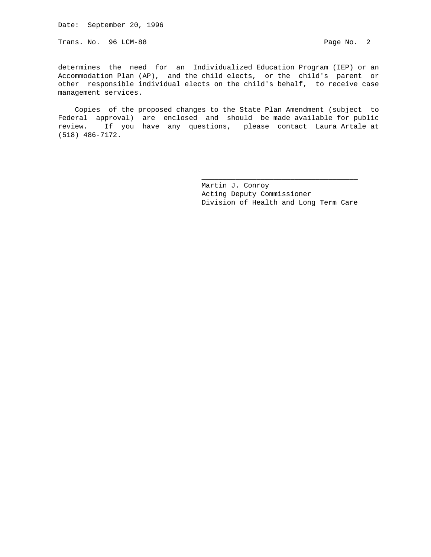Date: September 20, 1996

Trans. No. 96 LCM-88 Page No. 2

determines the need for an Individualized Education Program (IEP) or an Accommodation Plan (AP), and the child elects, or the child's parent or other responsible individual elects on the child's behalf, to receive case management services.

 Copies of the proposed changes to the State Plan Amendment (subject to Federal approval) are enclosed and should be made available for public review. If you have any questions, please contact Laura Artale at (518) 486-7172.

 $\_$ 

 Martin J. Conroy Acting Deputy Commissioner Division of Health and Long Term Care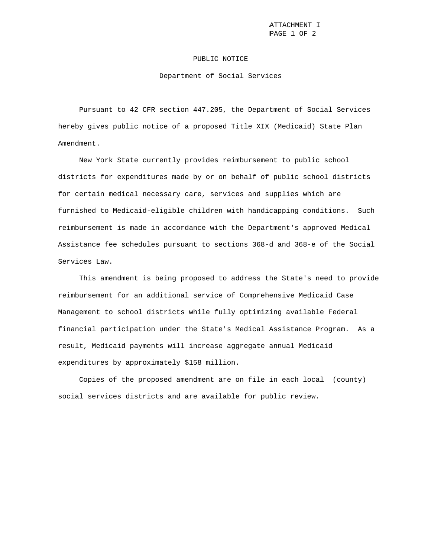ATTACHMENT I PAGE 1 OF 2

### PUBLIC NOTICE

#### Department of Social Services

 Pursuant to 42 CFR section 447.205, the Department of Social Services hereby gives public notice of a proposed Title XIX (Medicaid) State Plan Amendment.

 New York State currently provides reimbursement to public school districts for expenditures made by or on behalf of public school districts for certain medical necessary care, services and supplies which are furnished to Medicaid-eligible children with handicapping conditions. Such reimbursement is made in accordance with the Department's approved Medical Assistance fee schedules pursuant to sections 368-d and 368-e of the Social Services Law.

 This amendment is being proposed to address the State's need to provide reimbursement for an additional service of Comprehensive Medicaid Case Management to school districts while fully optimizing available Federal financial participation under the State's Medical Assistance Program. As a result, Medicaid payments will increase aggregate annual Medicaid expenditures by approximately \$158 million.

 Copies of the proposed amendment are on file in each local (county) social services districts and are available for public review.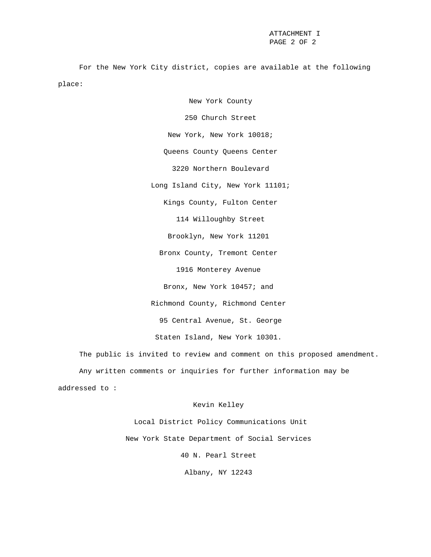For the New York City district, copies are available at the following place:

> New York County 250 Church Street New York, New York 10018; Queens County Queens Center 3220 Northern Boulevard Long Island City, New York 11101; Kings County, Fulton Center 114 Willoughby Street Brooklyn, New York 11201 Bronx County, Tremont Center 1916 Monterey Avenue Bronx, New York 10457; and Richmond County, Richmond Center 95 Central Avenue, St. George Staten Island, New York 10301.

 The public is invited to review and comment on this proposed amendment. Any written comments or inquiries for further information may be addressed to :

# Kevin Kelley

 Local District Policy Communications Unit New York State Department of Social Services 40 N. Pearl Street Albany, NY 12243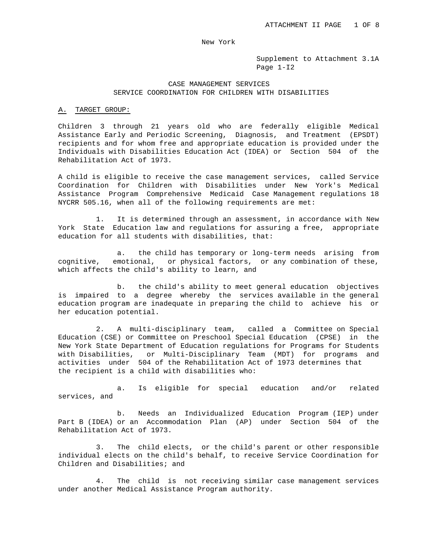Supplement to Attachment 3.1A Page 1-I2

## CASE MANAGEMENT SERVICES SERVICE COORDINATION FOR CHILDREN WITH DISABILITIES

# A. TARGET GROUP:

Children 3 through 21 years old who are federally eligible Medical Assistance Early and Periodic Screening, Diagnosis, and Treatment (EPSDT) recipients and for whom free and appropriate education is provided under the Individuals with Disabilities Education Act (IDEA) or Section 504 of the Rehabilitation Act of 1973.

A child is eligible to receive the case management services, called Service Coordination for Children with Disabilities under New York's Medical Assistance Program Comprehensive Medicaid Case Management regulations 18 NYCRR 505.16, when all of the following requirements are met:

 1. It is determined through an assessment, in accordance with New York State Education law and regulations for assuring a free, appropriate education for all students with disabilities, that:

 a. the child has temporary or long-term needs arising from cognitive, emotional, or physical factors, or any combination of these, which affects the child's ability to learn, and

 b. the child's ability to meet general education objectives is impaired to a degree whereby the services available in the general education program are inadequate in preparing the child to achieve his or her education potential.

 2. A multi-disciplinary team, called a Committee on Special Education (CSE) or Committee on Preschool Special Education (CPSE) in the New York State Department of Education regulations for Programs for Students with Disabilities, or Multi-Disciplinary Team (MDT) for programs and activities under 504 of the Rehabilitation Act of 1973 determines that the recipient is a child with disabilities who:

 a. Is eligible for special education and/or related services, and

 b. Needs an Individualized Education Program (IEP) under Part B (IDEA) or an Accommodation Plan (AP) under Section 504 of the Rehabilitation Act of 1973.

 3. The child elects, or the child's parent or other responsible individual elects on the child's behalf, to receive Service Coordination for Children and Disabilities; and

 4. The child is not receiving similar case management services under another Medical Assistance Program authority.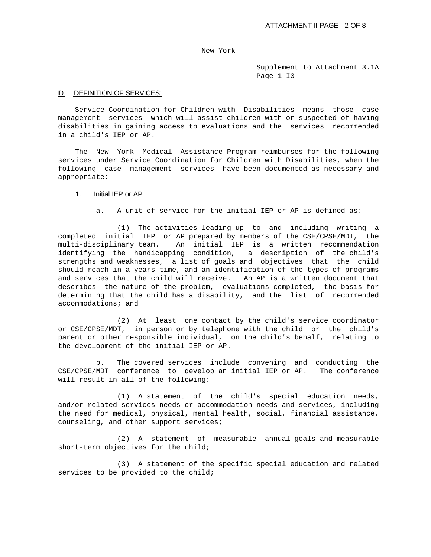Supplement to Attachment 3.1A Page 1-I3

### D. DEFINITION OF SERVICES:

 Service Coordination for Children with Disabilities means those case management services which will assist children with or suspected of having disabilities in gaining access to evaluations and the services recommended in a child's IEP or AP.

 The New York Medical Assistance Program reimburses for the following services under Service Coordination for Children with Disabilities, when the following case management services have been documented as necessary and appropriate:

# 1. Initial IEP or AP

a. A unit of service for the initial IEP or AP is defined as:

 (1) The activities leading up to and including writing a completed initial IEP or AP prepared by members of the CSE/CPSE/MDT, the multi-disciplinary team. An initial IEP is a written recommendation identifying the handicapping condition, a description of the child's strengths and weaknesses, a list of goals and objectives that the child should reach in a years time, and an identification of the types of programs and services that the child will receive. An AP is a written document that describes the nature of the problem, evaluations completed, the basis for determining that the child has a disability, and the list of recommended accommodations; and

 (2) At least one contact by the child's service coordinator or CSE/CPSE/MDT, in person or by telephone with the child or the child's parent or other responsible individual, on the child's behalf, relating to the development of the initial IEP or AP.

 b. The covered services include convening and conducting the CSE/CPSE/MDT conference to develop an initial IEP or AP. The conference will result in all of the following:

 (1) A statement of the child's special education needs, and/or related services needs or accommodation needs and services, including the need for medical, physical, mental health, social, financial assistance, counseling, and other support services;

 (2) A statement of measurable annual goals and measurable short-term objectives for the child;

 (3) A statement of the specific special education and related services to be provided to the child;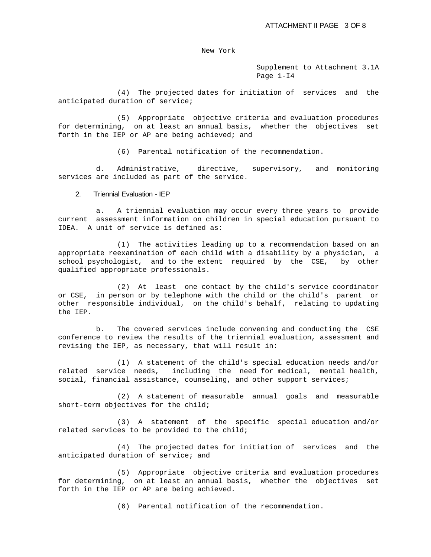Supplement to Attachment 3.1A Page 1-I4

 (4) The projected dates for initiation of services and the anticipated duration of service;

 (5) Appropriate objective criteria and evaluation procedures for determining, on at least an annual basis, whether the objectives set forth in the IEP or AP are being achieved; and

(6) Parental notification of the recommendation.

 d. Administrative, directive, supervisory, and monitoring services are included as part of the service.

### 2. Triennial Evaluation - IEP

 a. A triennial evaluation may occur every three years to provide current assessment information on children in special education pursuant to IDEA. A unit of service is defined as:

 (1) The activities leading up to a recommendation based on an appropriate reexamination of each child with a disability by a physician, a school psychologist, and to the extent required by the CSE, by other qualified appropriate professionals.

 (2) At least one contact by the child's service coordinator or CSE, in person or by telephone with the child or the child's parent or other responsible individual, on the child's behalf, relating to updating the IEP.

 b. The covered services include convening and conducting the CSE conference to review the results of the triennial evaluation, assessment and revising the IEP, as necessary, that will result in:

 (1) A statement of the child's special education needs and/or related service needs, including the need for medical, mental health, social, financial assistance, counseling, and other support services;

 (2) A statement of measurable annual goals and measurable short-term objectives for the child;

 (3) A statement of the specific special education and/or related services to be provided to the child;

 (4) The projected dates for initiation of services and the anticipated duration of service; and

 (5) Appropriate objective criteria and evaluation procedures for determining, on at least an annual basis, whether the objectives set forth in the IEP or AP are being achieved.

(6) Parental notification of the recommendation.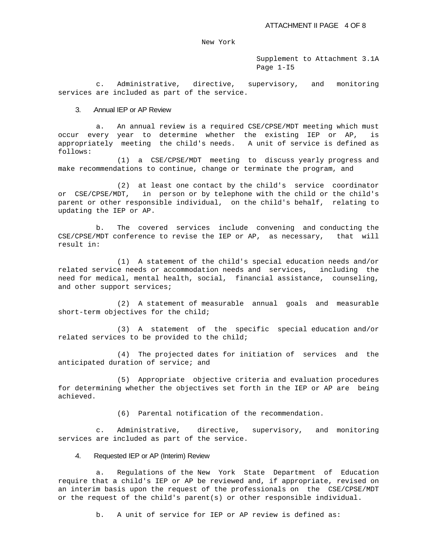Supplement to Attachment 3.1A Page 1-I5

 c. Administrative, directive, supervisory, and monitoring services are included as part of the service.

### 3. Annual IEP or AP Review

 a. An annual review is a required CSE/CPSE/MDT meeting which must occur every year to determine whether the existing IEP or AP, is appropriately meeting the child's needs. A unit of service is defined as follows:

 (1) a CSE/CPSE/MDT meeting to discuss yearly progress and make recommendations to continue, change or terminate the program, and

 (2) at least one contact by the child's service coordinator or CSE/CPSE/MDT, in person or by telephone with the child or the child's parent or other responsible individual, on the child's behalf, relating to updating the IEP or AP.

 b. The covered services include convening and conducting the CSE/CPSE/MDT conference to revise the IEP or AP, as necessary, that will result in:

 (1) A statement of the child's special education needs and/or related service needs or accommodation needs and services, including the need for medical, mental health, social, financial assistance, counseling, and other support services;

 (2) A statement of measurable annual goals and measurable short-term objectives for the child;

 (3) A statement of the specific special education and/or related services to be provided to the child;

 (4) The projected dates for initiation of services and the anticipated duration of service; and

 (5) Appropriate objective criteria and evaluation procedures for determining whether the objectives set forth in the IEP or AP are being achieved.

(6) Parental notification of the recommendation.

 c. Administrative, directive, supervisory, and monitoring services are included as part of the service.

## 4. Requested IEP or AP (Interim) Review

 a. Regulations of the New York State Department of Education require that a child's IEP or AP be reviewed and, if appropriate, revised on an interim basis upon the request of the professionals on the CSE/CPSE/MDT or the request of the child's parent(s) or other responsible individual.

b. A unit of service for IEP or AP review is defined as: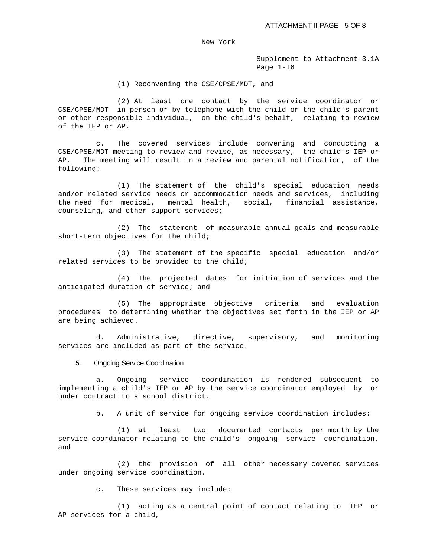Supplement to Attachment 3.1A Page 1-I6

(1) Reconvening the CSE/CPSE/MDT, and

 (2) At least one contact by the service coordinator or CSE/CPSE/MDT in person or by telephone with the child or the child's parent or other responsible individual, on the child's behalf, relating to review of the IEP or AP.

 c. The covered services include convening and conducting a CSE/CPSE/MDT meeting to review and revise, as necessary, the child's IEP or AP. The meeting will result in a review and parental notification, of the following:

 (1) The statement of the child's special education needs and/or related service needs or accommodation needs and services, including the need for medical, mental health, social, financial assistance, counseling, and other support services;

 (2) The statement of measurable annual goals and measurable short-term objectives for the child;

 (3) The statement of the specific special education and/or related services to be provided to the child;

 (4) The projected dates for initiation of services and the anticipated duration of service; and

 (5) The appropriate objective criteria and evaluation procedures to determining whether the objectives set forth in the IEP or AP are being achieved.

 d. Administrative, directive, supervisory, and monitoring services are included as part of the service.

### 5. Ongoing Service Coordination

 a. Ongoing service coordination is rendered subsequent to implementing a child's IEP or AP by the service coordinator employed by or under contract to a school district.

b. A unit of service for ongoing service coordination includes:

 (1) at least two documented contacts per month by the service coordinator relating to the child's ongoing service coordination, and

 (2) the provision of all other necessary covered services under ongoing service coordination.

c. These services may include:

 (1) acting as a central point of contact relating to IEP or AP services for a child,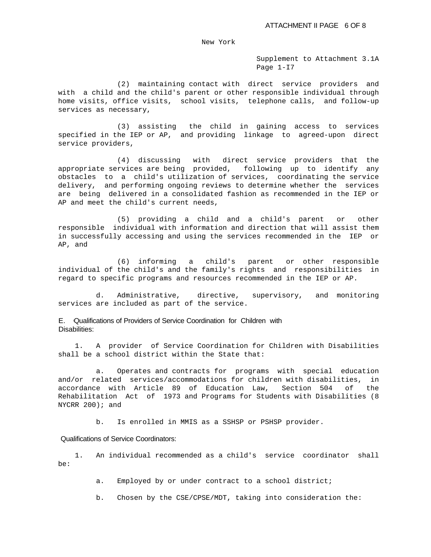Supplement to Attachment 3.1A Page 1-I7

 (2) maintaining contact with direct service providers and with a child and the child's parent or other responsible individual through home visits, office visits, school visits, telephone calls, and follow-up services as necessary,

 (3) assisting the child in gaining access to services specified in the IEP or AP, and providing linkage to agreed-upon direct service providers,

 (4) discussing with direct service providers that the appropriate services are being provided, following up to identify any obstacles to a child's utilization of services, coordinating the service delivery, and performing ongoing reviews to determine whether the services are being delivered in a consolidated fashion as recommended in the IEP or AP and meet the child's current needs,

 (5) providing a child and a child's parent or other responsible individual with information and direction that will assist them in successfully accessing and using the services recommended in the IEP or AP, and

 (6) informing a child's parent or other responsible individual of the child's and the family's rights and responsibilities in regard to specific programs and resources recommended in the IEP or AP.

 d. Administrative, directive, supervisory, and monitoring services are included as part of the service.

E. Qualifications of Providers of Service Coordination for Children with Disabilities:

 1. A provider of Service Coordination for Children with Disabilities shall be a school district within the State that:

 a. Operates and contracts for programs with special education and/or related services/accommodations for children with disabilities, in accordance with Article 89 of Education Law, Section 504 of the Rehabilitation Act of 1973 and Programs for Students with Disabilities (8 NYCRR 200); and

b. Is enrolled in MMIS as a SSHSP or PSHSP provider.

# Qualifications of Service Coordinators:

 1. An individual recommended as a child's service coordinator shall be:

a. Employed by or under contract to a school district;

b. Chosen by the CSE/CPSE/MDT, taking into consideration the: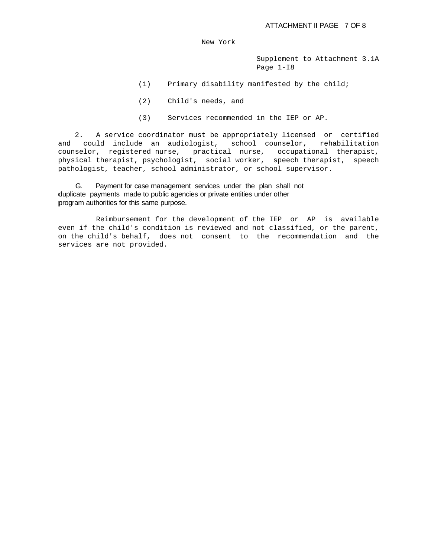Supplement to Attachment 3.1A Page 1-I8

- (1) Primary disability manifested by the child;
- (2) Child's needs, and
- (3) Services recommended in the IEP or AP.

 2. A service coordinator must be appropriately licensed or certified and could include an audiologist, school counselor, rehabilitation counselor, registered nurse, practical nurse, occupational therapist, physical therapist, psychologist, social worker, speech therapist, speech pathologist, teacher, school administrator, or school supervisor.

 G. Payment for case management services under the plan shall not duplicate payments made to public agencies or private entities under other program authorities for this same purpose.

 Reimbursement for the development of the IEP or AP is available even if the child's condition is reviewed and not classified, or the parent, on the child's behalf, does not consent to the recommendation and the services are not provided.